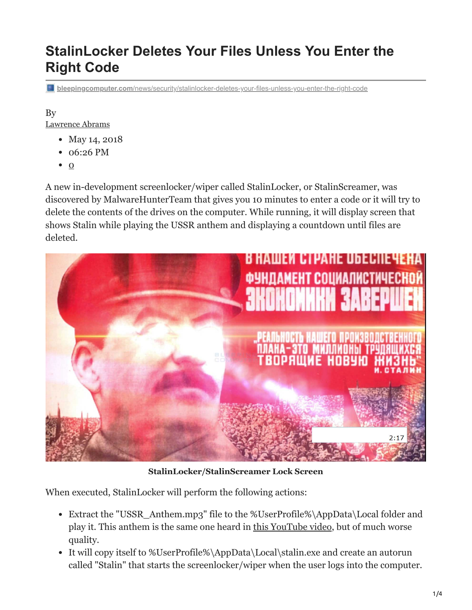# **StalinLocker Deletes Your Files Unless You Enter the Right Code**

**bleepingcomputer.com**[/news/security/stalinlocker-deletes-your-files-unless-you-enter-the-right-code](https://www.bleepingcomputer.com/news/security/stalinlocker-deletes-your-files-unless-you-enter-the-right-code/)

#### By [Lawrence Abrams](https://www.bleepingcomputer.com/author/lawrence-abrams/)

- May 14, 2018
- 06:26 PM
- $\bullet$  [0](#page-3-0)

A new in-development screenlocker/wiper called StalinLocker, or StalinScreamer, was discovered by MalwareHunterTeam that gives you 10 minutes to enter a code or it will try to delete the contents of the drives on the computer. While running, it will display screen that shows Stalin while playing the USSR anthem and displaying a countdown until files are deleted.



**StalinLocker/StalinScreamer Lock Screen**

When executed, StalinLocker will perform the following actions:

- Extract the "USSR\_Anthem.mp3" file to the %UserProfile%\AppData\Local folder and play it. This anthem is the same one heard in [this YouTube video](https://www.youtube.com/watch?v=U06jlgpMtQs), but of much worse quality.
- It will copy itself to %UserProfile%\AppData\Local\stalin.exe and create an autorun called "Stalin" that starts the screenlocker/wiper when the user logs into the computer.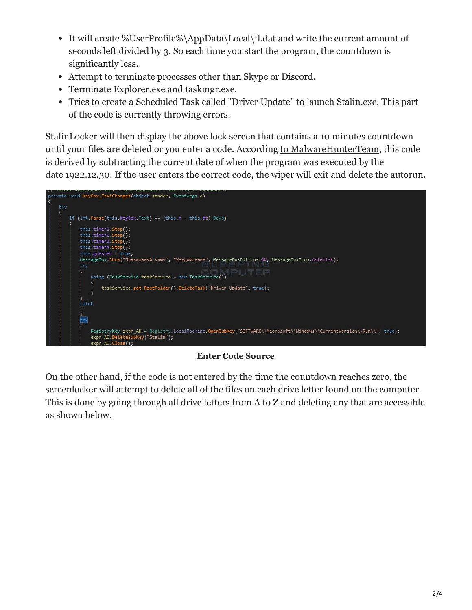- It will create %UserProfile%\AppData\Local\fl.dat and write the current amount of seconds left divided by 3. So each time you start the program, the countdown is significantly less.
- Attempt to terminate processes other than Skype or Discord.
- Terminate Explorer.exe and taskmgr.exe.
- Tries to create a Scheduled Task called "Driver Update" to launch Stalin.exe. This part of the code is currently throwing errors.

StalinLocker will then display the above lock screen that contains a 10 minutes countdown until your files are deleted or you enter a code. According [to MalwareHunterTeam,](https://twitter.com/malwrhunterteam/status/996030614896857095) this code is derived by subtracting the current date of when the program was executed by the date 1922.12.30. If the user enters the correct code, the wiper will exit and delete the autorun.

|     | private void KeyBox TextChanged(object sender, EventArgs e)                                                                                                                                                                                                                                                                                             |
|-----|---------------------------------------------------------------------------------------------------------------------------------------------------------------------------------------------------------------------------------------------------------------------------------------------------------------------------------------------------------|
| try |                                                                                                                                                                                                                                                                                                                                                         |
|     | if $(int. Parse(this.KeyBox.Text) == (this.n - this.dt).Days)$<br>this.timer1.Stop();<br>this.timer2.Stop();<br>this.timer3.Stop();<br>this.timer4.Stop();<br>this.guessed = $true;$<br>MessageBox.Show("Правильный ключ", "Уведомление", MessageBoxButtons.OK, MessageBoxIcon.Asterisk);<br>try<br>using (TaskService taskService = new TaskService()) |
|     | taskService.get RootFolder().DeleteTask("Driver Update", true);                                                                                                                                                                                                                                                                                         |
|     | catch                                                                                                                                                                                                                                                                                                                                                   |
|     | try                                                                                                                                                                                                                                                                                                                                                     |
|     | RegistryKey expr AD = Registry.LocalMachine.OpenSubKey("SOFTWARE\\Microsoft\\Windows\\CurrentVersion\\Run\\", true);<br>expr AD.DeleteSubKey("Stalin");<br>expr AD Close();                                                                                                                                                                             |

**Enter Code Source**

On the other hand, if the code is not entered by the time the countdown reaches zero, the screenlocker will attempt to delete all of the files on each drive letter found on the computer. This is done by going through all drive letters from A to Z and deleting any that are accessible as shown below.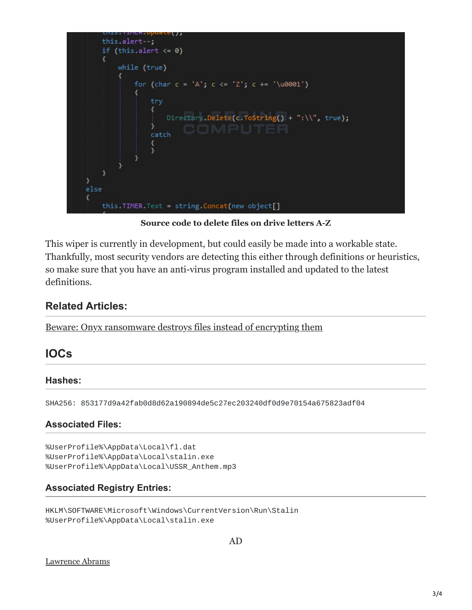

**Source code to delete files on drive letters A-Z**

This wiper is currently in development, but could easily be made into a workable state. Thankfully, most security vendors are detecting this either through definitions or heuristics, so make sure that you have an anti-virus program installed and updated to the latest definitions.

### **Related Articles:**

[Beware: Onyx ransomware destroys files instead of encrypting them](https://www.bleepingcomputer.com/news/security/beware-onyx-ransomware-destroys-files-instead-of-encrypting-them/)

## **IOCs**

#### **Hashes:**

SHA256: 853177d9a42fab0d8d62a190894de5c27ec203240df0d9e70154a675823adf04

#### **Associated Files:**

%UserProfile%\AppData\Local\fl.dat %UserProfile%\AppData\Local\stalin.exe %UserProfile%\AppData\Local\USSR\_Anthem.mp3

#### **Associated Registry Entries:**

```
HKLM\SOFTWARE\Microsoft\Windows\CurrentVersion\Run\Stalin
%UserProfile%\AppData\Local\stalin.exe
```